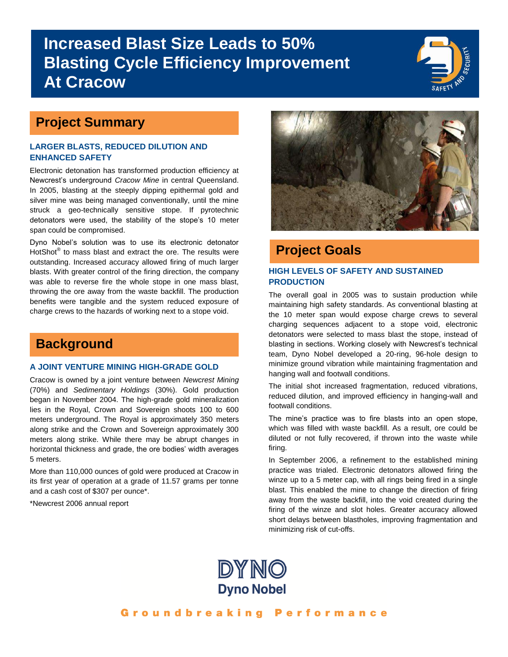# **Increased Blast Size Leads to 50% Blasting Cycle Efficiency Improvement At Cracow**



### **Project Summary**

#### **LARGER BLASTS, REDUCED DILUTION AND ENHANCED SAFETY**

Electronic detonation has transformed production efficiency at Newcrest's underground *Cracow Mine* in central Queensland. In 2005, blasting at the steeply dipping epithermal gold and silver mine was being managed conventionally, until the mine struck a geo-technically sensitive stope. If pyrotechnic detonators were used, the stability of the stope's 10 meter span could be compromised.

Dyno Nobel's solution was to use its electronic detonator HotShot<sup>®</sup> to mass blast and extract the ore. The results were outstanding. Increased accuracy allowed firing of much larger blasts. With greater control of the firing direction, the company was able to reverse fire the whole stope in one mass blast, throwing the ore away from the waste backfill. The production benefits were tangible and the system reduced exposure of charge crews to the hazards of working next to a stope void.

## **Background**

#### **A JOINT VENTURE MINING HIGH-GRADE GOLD**

Cracow is owned by a joint venture between *Newcrest Mining* (70%) and *Sedimentary Holdings* (30%). Gold production began in November 2004. The high-grade gold mineralization lies in the Royal, Crown and Sovereign shoots 100 to 600 meters underground. The Royal is approximately 350 meters along strike and the Crown and Sovereign approximately 300 meters along strike. While there may be abrupt changes in horizontal thickness and grade, the ore bodies' width averages 5 meters.

More than 110,000 ounces of gold were produced at Cracow in its first year of operation at a grade of 11.57 grams per tonne and a cash cost of \$307 per ounce\*.

\*Newcrest 2006 annual report



### **Project Goals**

#### **HIGH LEVELS OF SAFETY AND SUSTAINED PRODUCTION**

The overall goal in 2005 was to sustain production while maintaining high safety standards. As conventional blasting at the 10 meter span would expose charge crews to several charging sequences adjacent to a stope void, electronic detonators were selected to mass blast the stope, instead of blasting in sections. Working closely with Newcrest's technical team, Dyno Nobel developed a 20-ring, 96-hole design to minimize ground vibration while maintaining fragmentation and hanging wall and footwall conditions.

The initial shot increased fragmentation, reduced vibrations, reduced dilution, and improved efficiency in hanging-wall and footwall conditions.

The mine's practice was to fire blasts into an open stope, which was filled with waste backfill. As a result, ore could be diluted or not fully recovered, if thrown into the waste while firing.

In September 2006, a refinement to the established mining practice was trialed. Electronic detonators allowed firing the winze up to a 5 meter cap, with all rings being fired in a single blast. This enabled the mine to change the direction of firing away from the waste backfill, into the void created during the firing of the winze and slot holes. Greater accuracy allowed short delays between blastholes, improving fragmentation and minimizing risk of cut-offs.

DYNO **Dyno Nobel**